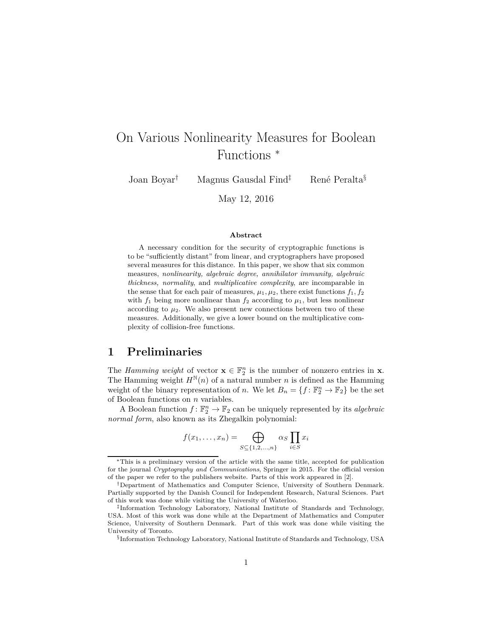# On Various Nonlinearity Measures for Boolean Functions <sup>∗</sup>

Joan Boyar† Magnus Gausdal Find‡ René Peralta§

May 12, 2016

#### **Abstract**

A necessary condition for the security of cryptographic functions is to be "sufficiently distant" from linear, and cryptographers have proposed several measures for this distance. In this paper, we show that six common measures, *nonlinearity, algebraic degree, annihilator immunity, algebraic thickness, normality*, and *multiplicative complexity*, are incomparable in the sense that for each pair of measures,  $\mu_1, \mu_2$ , there exist functions  $f_1, f_2$ with  $f_1$  being more nonlinear than  $f_2$  according to  $\mu_1$ , but less nonlinear according to  $\mu_2$ . We also present new connections between two of these measures. Additionally, we give a lower bound on the multiplicative complexity of collision-free functions.

### **1 Preliminaries**

The *Hamming weight* of vector  $\mathbf{x} \in \mathbb{F}_2^n$  is the number of nonzero entries in **x**. The Hamming weight  $H^{\mathbb{N}}(n)$  of a natural number  $n$  is defined as the Hamming weight of the binary representation of *n*. We let  $B_n = \{f : \mathbb{F}_2^n \to \mathbb{F}_2\}$  be the set of Boolean functions on *n* variables.

A Boolean function  $f: \mathbb{F}_2^n \to \mathbb{F}_2$  can be uniquely represented by its *algebraic normal form*, also known as its Zhegalkin polynomial:

$$
f(x_1,\ldots,x_n)=\bigoplus_{S\subseteq\{1,2,\ldots,n\}}\alpha_S\prod_{i\in S}x_i
$$

<sup>∗</sup>This is a preliminary version of the article with the same title, accepted for publication for the journal *Cryptography and Communications*, Springer in 2015. For the official version of the paper we refer to the publishers website. Parts of this work appeared in [2].

<sup>†</sup>Department of Mathematics and Computer Science, University of Southern Denmark. Partially supported by the Danish Council for Independent Research, Natural Sciences. Part of this work was done while visiting the University of Waterloo.

<sup>‡</sup>Information Technology Laboratory, National Institute of Standards and Technology, USA. Most of this work was done while at the Department of Mathematics and Computer Science, University of Southern Denmark. Part of this work was done while visiting the University of Toronto.

<sup>§</sup>Information Technology Laboratory, National Institute of Standards and Technology, USA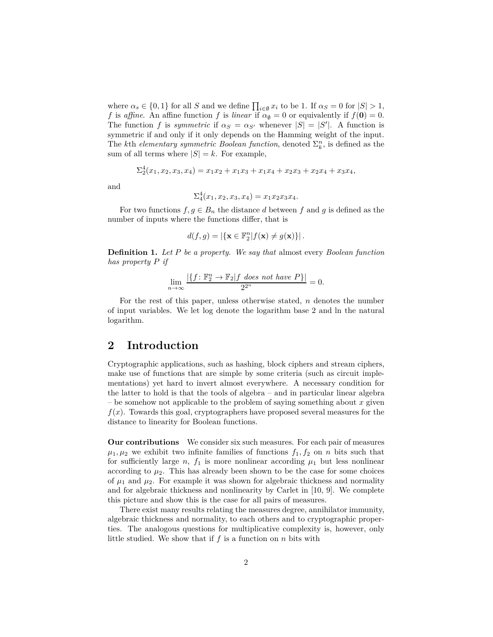where  $\alpha_s \in \{0,1\}$  for all *S* and we define  $\prod_{i \in \emptyset} x_i$  to be 1. If  $\alpha_s = 0$  for  $|S| > 1$ , *f* is *affine*. An affine function *f* is *linear* if  $\alpha_{\emptyset} = 0$  or equivalently if  $f(\mathbf{0}) = 0$ . The function *f* is *symmetric* if  $\alpha_S = \alpha_{S'}$  whenever  $|S| = |S'|$ . A function is symmetric if and only if it only depends on the Hamming weight of the input. The *k*th *elementary symmetric Boolean function*, denoted  $\Sigma_k^n$ , is defined as the sum of all terms where  $|S| = k$ . For example,

$$
\Sigma_2^4(x_1, x_2, x_3, x_4) = x_1x_2 + x_1x_3 + x_1x_4 + x_2x_3 + x_2x_4 + x_3x_4,
$$

and

$$
\Sigma_4^4(x_1, x_2, x_3, x_4) = x_1 x_2 x_3 x_4.
$$

For two functions  $f, g \in B_n$  the distance *d* between *f* and *g* is defined as the number of inputs where the functions differ, that is

$$
d(f,g) = |\{\mathbf{x} \in \mathbb{F}_2^n | f(\mathbf{x}) \neq g(\mathbf{x})\}|.
$$

**Definition 1.** *Let P be a property. We say that* almost every *Boolean function has property P if* 

$$
\lim_{n \to \infty} \frac{|\{f \colon \mathbb{F}_2^n \to \mathbb{F}_2 | f \text{ does not have } P\}|}{2^{2^n}} = 0.
$$

For the rest of this paper, unless otherwise stated, *n* denotes the number of input variables. We let log denote the logarithm base 2 and ln the natural logarithm.

# **2 Introduction**

Cryptographic applications, such as hashing, block ciphers and stream ciphers, make use of functions that are simple by some criteria (such as circuit implementations) yet hard to invert almost everywhere. A necessary condition for the latter to hold is that the tools of algebra – and in particular linear algebra  $-$  be somehow not applicable to the problem of saying something about  $x$  given  $f(x)$ . Towards this goal, cryptographers have proposed several measures for the distance to linearity for Boolean functions.

**Our contributions** We consider six such measures. For each pair of measures  $\mu_1, \mu_2$  we exhibit two infinite families of functions  $f_1, f_2$  on *n* bits such that for sufficiently large  $n$ ,  $f_1$  is more nonlinear according  $\mu_1$  but less nonlinear according to  $\mu_2$ . This has already been shown to be the case for some choices of  $\mu_1$  and  $\mu_2$ . For example it was shown for algebraic thickness and normality and for algebraic thickness and nonlinearity by Carlet in [10, 9]. We complete this picture and show this is the case for all pairs of measures.

There exist many results relating the measures degree, annihilator immunity, algebraic thickness and normality, to each others and to cryptographic properties. The analogous questions for multiplicative complexity is, however, only little studied. We show that if  $f$  is a function on  $n$  bits with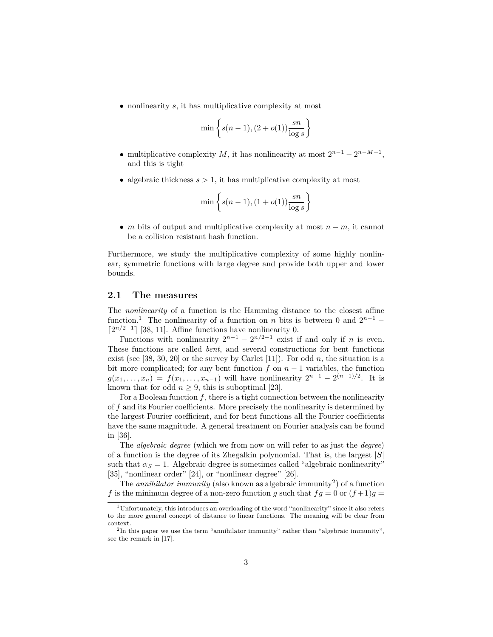• nonlinearity *s*, it has multiplicative complexity at most

$$
\min\left\{s(n-1), (2+o(1))\frac{sn}{\log s}\right\}
$$

- multiplicative complexity *M*, it has nonlinearity at most  $2^{n-1} 2^{n-M-1}$ , and this is tight
- algebraic thickness  $s > 1$ , it has multiplicative complexity at most

$$
\min\left\{s(n-1), (1+o(1))\frac{sn}{\log s}\right\}
$$

• *m* bits of output and multiplicative complexity at most *n* − *m*, it cannot be a collision resistant hash function.

Furthermore, we study the multiplicative complexity of some highly nonlinear, symmetric functions with large degree and provide both upper and lower bounds.

#### **2.1 The measures**

The *nonlinearity* of a function is the Hamming distance to the closest affine function.<sup>1</sup> The nonlinearity of a function on *n* bits is between 0 and  $2^{n-1}$  − ⌈2*n/*2−<sup>1</sup>⌉ [38, 11]. Affine functions have nonlinearity 0.

Functions with nonlinearity  $2^{n-1} - 2^{n/2-1}$  exist if and only if *n* is even. These functions are called *bent*, and several constructions for bent functions exist (see [38, 30, 20] or the survey by Carlet [11]). For odd  $n$ , the situation is a bit more complicated; for any bent function  $f$  on  $n-1$  variables, the function  $g(x_1, \ldots, x_n) = f(x_1, \ldots, x_{n-1})$  will have nonlinearity  $2^{n-1} - 2^{(n-1)/2}$ . It is known that for odd  $n \geq 9$ , this is suboptimal [23].

For a Boolean function *f*, there is a tight connection between the nonlinearity of *f* and its Fourier coefficients. More precisely the nonlinearity is determined by the largest Fourier coefficient, and for bent functions all the Fourier coefficients have the same magnitude. A general treatment on Fourier analysis can be found in [36].

The *algebraic degree* (which we from now on will refer to as just the *degree*) of a function is the degree of its Zhegalkin polynomial. That is, the largest |*S*| such that  $\alpha_S = 1$ . Algebraic degree is sometimes called "algebraic nonlinearity" [35], "nonlinear order" [24], or "nonlinear degree" [26].

The *annihilator immunity* (also known as algebraic immunity<sup>2</sup>) of a function f is the minimum degree of a non-zero function g such that  $fg = 0$  or  $(f+1)g =$ 

<sup>1</sup>Unfortunately, this introduces an overloading of the word "nonlinearity" since it also refers to the more general concept of distance to linear functions. The meaning will be clear from context. 2In this paper we use the term "annihilator immunity" rather than "algebraic immunity",

see the remark in [17].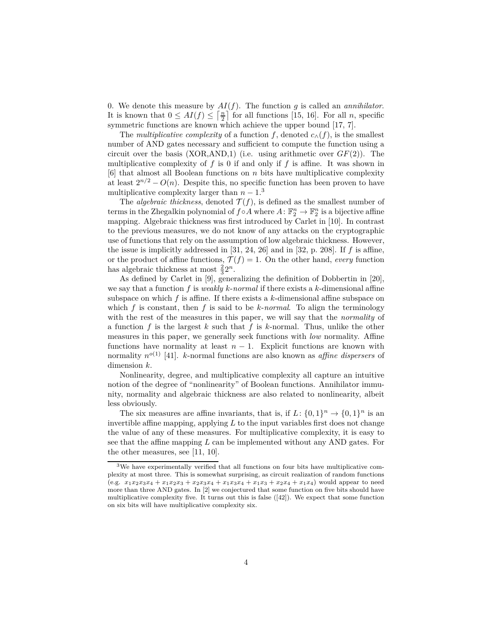0. We denote this measure by *AI*(*f*). The function *g* is called an *annihilator*. It is known that  $0 \leq AI(f) \leq \left\lceil \frac{n}{2} \right\rceil$  for all functions [15, 16]. For all *n*, specific symmetric functions are known which achieve the upper bound [17, 7].

The *multiplicative complexity* of a function  $f$ , denoted  $c_0(f)$ , is the smallest number of AND gates necessary and sufficient to compute the function using a circuit over the basis (XOR,AND,1) (i.e. using arithmetic over *GF*(2)). The multiplicative complexity of *f* is 0 if and only if *f* is affine. It was shown in [6] that almost all Boolean functions on *n* bits have multiplicative complexity at least  $2^{n/2} - O(n)$ . Despite this, no specific function has been proven to have multiplicative complexity larger than  $n-1$ <sup>3</sup>

The *algebraic thickness*, denoted  $\mathcal{T}(f)$ , is defined as the smallest number of terms in the Zhegalkin polynomial of  $f \circ A$  where  $A: \mathbb{F}_2^n \to \mathbb{F}_2^n$  is a bijective affine mapping. Algebraic thickness was first introduced by Carlet in [10]. In contrast to the previous measures, we do not know of any attacks on the cryptographic use of functions that rely on the assumption of low algebraic thickness. However, the issue is implicitly addressed in [31, 24, 26] and in [32, p. 208]. If *f* is affine, or the product of affine functions,  $\mathcal{T}(f) = 1$ . On the other hand, *every* function has algebraic thickness at most  $\frac{2}{3}2^n$ .

As defined by Carlet in [9], generalizing the definition of Dobbertin in [20], we say that a function *f* is *weakly k*-*normal* if there exists a *k*-dimensional affine subspace on which *f* is affine. If there exists a *k*-dimensional affine subspace on which  $f$  is constant, then  $f$  is said to be  $k$ -*normal*. To align the terminology with the rest of the measures in this paper, we will say that the *normality* of a function *f* is the largest *k* such that *f* is *k*-normal. Thus, unlike the other measures in this paper, we generally seek functions with *low* normality. Affine functions have normality at least  $n-1$ . Explicit functions are known with normality  $n^{o(1)}$  [41]. *k*-normal functions are also known as *affine dispersers* of dimension *k*.

Nonlinearity, degree, and multiplicative complexity all capture an intuitive notion of the degree of "nonlinearity" of Boolean functions. Annihilator immunity, normality and algebraic thickness are also related to nonlinearity, albeit less obviously.

The six measures are affine invariants, that is, if  $L: \{0,1\}^n \to \{0,1\}^n$  is an invertible affine mapping, applying  $L$  to the input variables first does not change the value of any of these measures. For multiplicative complexity, it is easy to see that the affine mapping *L* can be implemented without any AND gates. For the other measures, see [11, 10].

<sup>3</sup>We have experimentally verified that all functions on four bits have multiplicative complexity at most three. This is somewhat surprising, as circuit realization of random functions (e.g.  $x_1x_2x_3x_4 + x_1x_2x_3 + x_2x_3x_4 + x_1x_3x_4 + x_1x_3 + x_2x_4 + x_1x_4$ ) would appear to need more than three AND gates. In [2] we conjectured that some function on five bits should have multiplicative complexity five. It turns out this is false ([42]). We expect that some function on six bits will have multiplicative complexity six.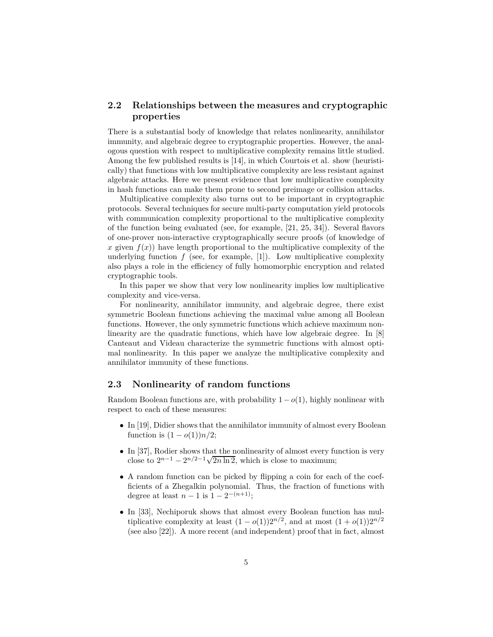### **2.2 Relationships between the measures and cryptographic properties**

There is a substantial body of knowledge that relates nonlinearity, annihilator immunity, and algebraic degree to cryptographic properties. However, the analogous question with respect to multiplicative complexity remains little studied. Among the few published results is [14], in which Courtois et al. show (heuristically) that functions with low multiplicative complexity are less resistant against algebraic attacks. Here we present evidence that low multiplicative complexity in hash functions can make them prone to second preimage or collision attacks.

Multiplicative complexity also turns out to be important in cryptographic protocols. Several techniques for secure multi-party computation yield protocols with communication complexity proportional to the multiplicative complexity of the function being evaluated (see, for example, [21, 25, 34]). Several flavors of one-prover non-interactive cryptographically secure proofs (of knowledge of x given  $f(x)$  have length proportional to the multiplicative complexity of the underlying function  $f$  (see, for example, [1]). Low multiplicative complexity also plays a role in the efficiency of fully homomorphic encryption and related cryptographic tools.

In this paper we show that very low nonlinearity implies low multiplicative complexity and vice-versa.

For nonlinearity, annihilator immunity, and algebraic degree, there exist symmetric Boolean functions achieving the maximal value among all Boolean functions. However, the only symmetric functions which achieve maximum nonlinearity are the quadratic functions, which have low algebraic degree. In [8] Canteaut and Videau characterize the symmetric functions with almost optimal nonlinearity. In this paper we analyze the multiplicative complexity and annihilator immunity of these functions.

### **2.3 Nonlinearity of random functions**

Random Boolean functions are, with probability 1−*o*(1), highly nonlinear with respect to each of these measures:

- In [19], Didier shows that the annihilator immunity of almost every Boolean function is  $(1 - o(1))n/2$ ;
- In [37], Rodier shows that the nonlinearity of almost every function is very close to  $2^{n-1} - 2^{n/2-1}\sqrt{2n \ln 2}$ , which is close to maximum;
- A random function can be picked by flipping a coin for each of the coefficients of a Zhegalkin polynomial. Thus, the fraction of functions with degree at least  $n-1$  is  $1-2^{-(n+1)}$ ;
- In [33], Nechiporuk shows that almost every Boolean function has multiplicative complexity at least  $(1 - o(1))2^{n/2}$ , and at most  $(1 + o(1))2^{n/2}$ (see also [22]). A more recent (and independent) proof that in fact, almost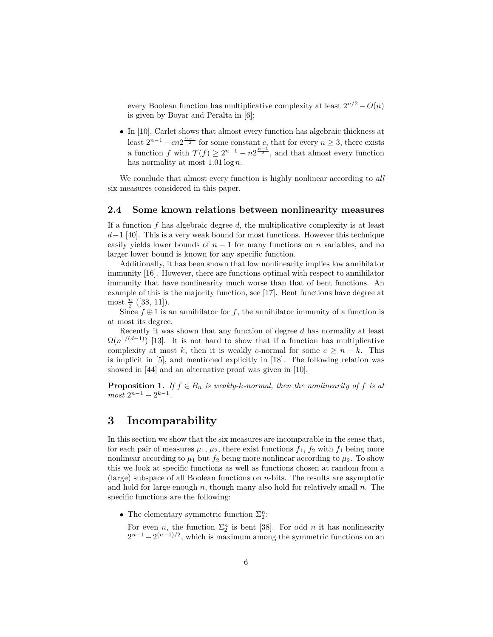every Boolean function has multiplicative complexity at least  $2^{n/2} - O(n)$ is given by Boyar and Peralta in [6];

• In [10], Carlet shows that almost every function has algebraic thickness at least  $2^{n-1} - cn2^{\frac{n-1}{2}}$  for some constant *c*, that for every  $n \geq 3$ , there exists a function *f* with  $\mathcal{T}(f) \geq 2^{n-1} - n2^{\frac{n-1}{2}}$ , and that almost every function has normality at most 1*.*01 log *n*.

We conclude that almost every function is highly nonlinear according to *all*  six measures considered in this paper.

### **2.4 Some known relations between nonlinearity measures**

If a function *f* has algebraic degree *d*, the multiplicative complexity is at least *d*−1 [40]. This is a very weak bound for most functions. However this technique easily yields lower bounds of *n* − 1 for many functions on *n* variables, and no larger lower bound is known for any specific function.

Additionally, it has been shown that low nonlinearity implies low annihilator immunity [16]. However, there are functions optimal with respect to annihilator immunity that have nonlinearity much worse than that of bent functions. An example of this is the majority function, see [17]. Bent functions have degree at most *<sup>n</sup>* <sup>2</sup> ([38, 11]).

Since  $f \oplus 1$  is an annihilator for f, the annihilator immunity of a function is at most its degree.

Recently it was shown that any function of degree *d* has normality at least  $\Omega(n^{1/(d-1)})$  [13]. It is not hard to show that if a function has multiplicative complexity at most k, then it is weakly c-normal for some  $c > n - k$ . This is implicit in [5], and mentioned explicitly in [18]. The following relation was showed in [44] and an alternative proof was given in [10].

**Proposition 1.** *If*  $f \in B_n$  *is weakly-k-normal, then the nonlinearity of*  $f$  *is at*  $most 2^{n-1} - 2^{k-1}.$ 

# **3 Incomparability**

In this section we show that the six measures are incomparable in the sense that, for each pair of measures  $\mu_1$ ,  $\mu_2$ , there exist functions  $f_1$ ,  $f_2$  with  $f_1$  being more nonlinear according to  $\mu_1$  but  $f_2$  being more nonlinear according to  $\mu_2$ . To show this we look at specific functions as well as functions chosen at random from a (large) subspace of all Boolean functions on *n*-bits. The results are asymptotic and hold for large enough *n*, though many also hold for relatively small *n*. The specific functions are the following:

• The elementary symmetric function  $\Sigma_2^n$ :

For even *n*, the function  $\Sigma_2^n$  is bent [38]. For odd *n* it has nonlinearity  $2^{n-1} - 2^{(n-1)/2}$ , which is maximum among the symmetric functions on an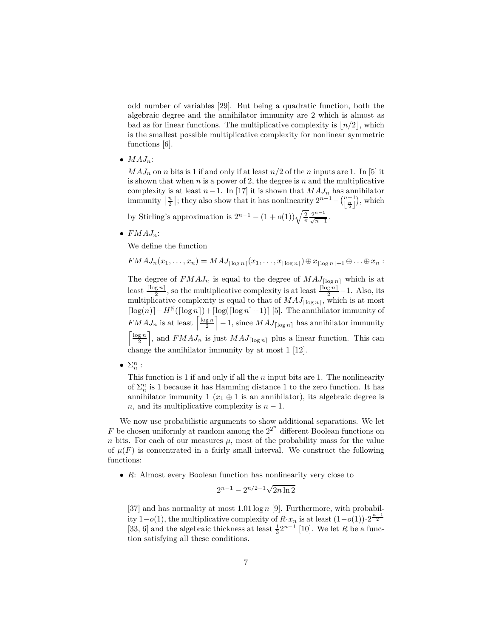odd number of variables [29]. But being a quadratic function, both the algebraic degree and the annihilator immunity are 2 which is almost as bad as for linear functions. The multiplicative complexity is  $\lfloor n/2 \rfloor$ , which is the smallest possible multiplicative complexity for nonlinear symmetric functions [6].

 $\bullet$   $MAJ_n$ :

 $MAJ_n$  on *n* bits is 1 if and only if at least  $n/2$  of the *n* inputs are 1. In [5] it is shown that when  $n$  is a power of 2, the degree is  $n$  and the multiplicative complexity is at least  $n-1$ . In [17] it is shown that  $MAJ_n$  has annihilator  $\limmin \left( \frac{n}{2} \right]$ ; they also show that it has nonlinearity  $2^{n-1} - {n-1 \choose \lfloor \frac{n}{2} \rfloor}$ , which

by Stirling's approximation is  $2^{n-1} - (1 + o(1))\sqrt{\frac{2}{\pi}} \frac{2^{n-1}}{\sqrt{n-1}}$ .

 $\bullet$   $FMAJ_n$ :

We define the function

$$
FMAJ_n(x_1,\ldots,x_n)=MAJ_{\lceil \log n \rceil}(x_1,\ldots,x_{\lceil \log n \rceil})\oplus x_{\lceil \log n \rceil+1}\oplus \ldots\oplus x_n:
$$

The degree of  $FMAJ_n$  is equal to the degree of  $MAJ_{\lceil \log n \rceil}$  which is at least  $\frac{\lceil \log n \rceil}{2}$ , so the multiplicative complexity is at least  $\frac{\lceil \log n \rceil}{2} - 1$ . Also, its multiplicative complexity is equal to that of  $MAJ_{\lceil \log n \rceil}$ , which is at most  $\lceil \log(n) \rceil - H^{\mathbb{N}}(\lceil \log n \rceil) + \lceil \log(\lceil \log n \rceil + 1) \rceil$  [5]. The annihilator immunity of  $FMA.L$  is at least  $\lceil \frac{\log n}{n} \rceil - 1$  since  $MA.L$  is an annihilator immunity  $FMAJ_n$  is at least  $\left\lfloor \frac{\log n}{2} \right\rfloor - 1$ , since  $MAJ_{\lceil \log n \rceil}$  has annihilator immunity  $\left\lceil \frac{\log n}{2} \right\rceil$ , and  $FMAJ_n$  is just  $MAJ_{\lceil \log n \rceil}$  plus a linear function. This can change the annihilator immunity by at most 1 [12].

•  $\Sigma_n^n$  :

This function is 1 if and only if all the *n* input bits are 1. The nonlinearity of  $\Sigma_n^n$  is 1 because it has Hamming distance 1 to the zero function. It has annihilator immunity 1 ( $x_1 \oplus 1$  is an annihilator), its algebraic degree is *n*, and its multiplicative complexity is *n* − 1.

We now use probabilistic arguments to show additional separations. We let  $F$  be chosen uniformly at random among the  $2^{2^n}$  different Boolean functions on *n* bits. For each of our measures  $\mu$ , most of the probability mass for the value of  $\mu(F)$  is concentrated in a fairly small interval. We construct the following functions:

• *R*: Almost every Boolean function has nonlinearity very close to

$$
2^{n-1} - 2^{n/2 - 1} \sqrt{2n \ln 2}
$$

[37] and has normality at most 1*.*01 log *n* [9]. Furthermore, with probability 1−*o*(1), the multiplicative complexity of *R*·*x<sub>n</sub>* is at least  $(1-o(1))\cdot 2^{\frac{n-1}{2}}$ [33, 6] and the algebraic thickness at least  $\frac{1}{3}2^{n-1}$  [10]. We let *R* be a function satisfying all these conditions.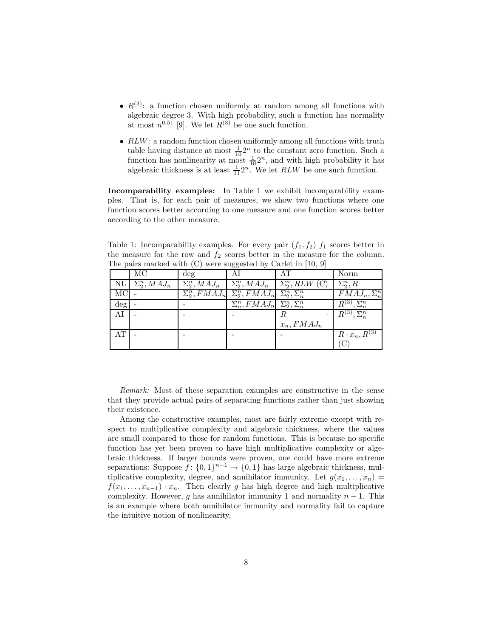- $R^{(3)}$ : a function chosen uniformly at random among all functions with algebraic degree 3. With high probability, such a function has normality at most  $n^{0.51}$  [9]. We let  $R^{(\tilde{3})}$  be one such function.
- *RLW*: a random function chosen uniformly among all functions with truth table having distance at most  $\frac{1}{10}2^n$  to the constant zero function. Such a function has nonlinearity at most  $\frac{1}{10}2^n$ , and with high probability it has algebraic thickness is at least  $\frac{1}{11}2^n$ . We let *RLW* be one such function.

**Incomparability examples:** In Table 1 we exhibit incomparability examples. That is, for each pair of measures, we show two functions where one function scores better according to one measure and one function scores better according to the other measure.

Table 1: Incomparability examples. For every pair  $(f_1, f_2)$   $f_1$  scores better in the measure for the row and  $f_2$  scores better in the measure for the column. The pairs marked with (C) were suggested by Carlet in [10, 9]

|     | МC                  | deg                 |                                                                                           | AТ                | Norm                                   |
|-----|---------------------|---------------------|-------------------------------------------------------------------------------------------|-------------------|----------------------------------------|
|     | $\Sigma_2^n, MAJ_n$ | $\Sigma_2^n, MAJ_n$ | $\Sigma_2^n, MAJ_n$                                                                       | $\Sigma_2^n, RLW$ | $\Sigma_2^n, R$                        |
| МC  |                     |                     | $\sum_{2}^{n}$ , $FMAJ_n$ $\Sigma_{2}^{n}$ , $FMAJ_n$ $\Sigma_{2}^{n}$ , $\Sigma_{n}^{n}$ |                   | $FMAJ_n, \Sigma_n^n$                   |
| deg |                     |                     | $\Sigma_n^n$ , $FMAJ_n \Sigma_2^n$ , $\Sigma_n^n$                                         |                   | $\Sigma_n^n$<br>$R^{\backslash\circ}$  |
| AI  |                     |                     |                                                                                           | ĸ                 | $\Sigma_n^n$<br>$R^{\left( 3\right) }$ |
|     |                     |                     |                                                                                           | $x_n, FMAJ_n$     |                                        |
| AT  |                     |                     |                                                                                           |                   | $R\cdot x_n, R^{(3)}$                  |
|     |                     |                     |                                                                                           |                   |                                        |

*Remark:* Most of these separation examples are constructive in the sense that they provide actual pairs of separating functions rather than just showing their existence.

Among the constructive examples, most are fairly extreme except with respect to multiplicative complexity and algebraic thickness, where the values are small compared to those for random functions. This is because no specific function has yet been proven to have high multiplicative complexity or algebraic thickness. If larger bounds were proven, one could have more extreme separations: Suppose  $\tilde{f}$  :  $\{0,1\}^{n-1} \to \{0,1\}$  has large algebraic thickness, multiplicative complexity, degree, and annihilator immunity. Let  $g(x_1, \ldots, x_n)$  $f(x_1, \ldots, x_{n-1}) \cdot x_n$ . Then clearly *g* has high degree and high multiplicative complexity. However, *g* has annihilator immunity 1 and normality *n* − 1. This is an example where both annihilator immunity and normality fail to capture the intuitive notion of nonlinearity.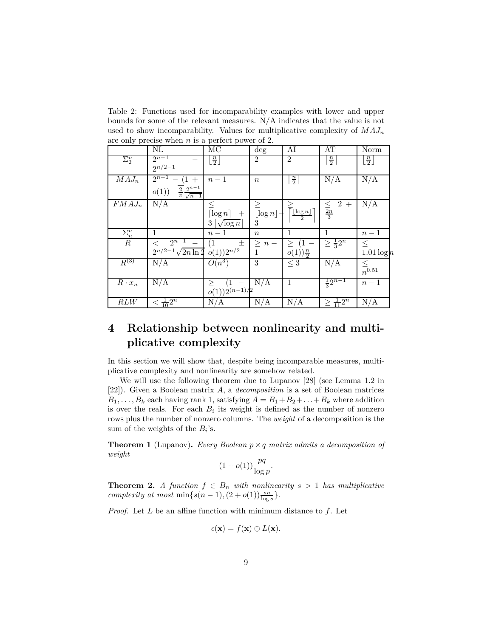Table 2: Functions used for incomparability examples with lower and upper bounds for some of the relevant measures. N/A indicates that the value is not used to show incomparability. Values for multiplicative complexity of *MAJ<sup>n</sup>* are only precise when *n* is a perfect power of 2.

| $\mathbf{v}$ $\mathbf{r}$ | $\rm NL$                                                                     | $\overline{MC}$                                                     | $\deg$                                    | AI                                 | AT                     | Norm                          |
|---------------------------|------------------------------------------------------------------------------|---------------------------------------------------------------------|-------------------------------------------|------------------------------------|------------------------|-------------------------------|
| $\Sigma_2^n$              | $2^{n-1}$<br>$2^{n/2-1}$                                                     | $\frac{n}{2}$                                                       | $\overline{2}$                            | $\overline{2}$                     | $\frac{n}{2}$          | $\lfloor \frac{n}{2} \rfloor$ |
| $MAJ_n$                   | $2^{n-1}$<br>$-$ (1 +<br>$\frac{2}{\pi} \frac{2^{n-1}}{\sqrt{n-1}}$<br>o(1)) | $n-1$                                                               | $\boldsymbol{n}$                          | $\frac{n}{2}$                      | N/A                    | N/A                           |
| $\overline{FM}AJ_n$       | N/A                                                                          | $\,<$<br>$\lceil \log n \rceil +$<br>$3\lceil \sqrt{\log n} \rceil$ | $\geq$<br>$\lfloor \log n \rfloor$ -<br>3 | $\frac{\lfloor \log n \rfloor}{2}$ | $\frac{\le}{2n}$ 2 +   | N/A                           |
| $\Sigma_n^n$              | 1                                                                            | $n-1$                                                               | $\boldsymbol{n}$                          | 1                                  | 1                      | $n-1$                         |
| $\boldsymbol{R}$          | $2^{n-1}$<br>$\lt$<br>$2^{n/2-1}\sqrt{2n\ln 2}$ $o(1))2^{n/2}$               | 士                                                                   | $\geq n-$                                 | ⋗<br>$o(1))\frac{n}{2}$            | $\geq \frac{1}{3}2^n$  | $\leq$<br>$1.01 \log n$       |
| $R^{(3)}$                 | N/A                                                                          | $O(n^3)$                                                            | 3                                         | $\leq 3$                           | N/A                    | $\leq$<br>$n^{0.51}$          |
| $R \cdot x_n$             | $\overline{N}/A$                                                             | (1)<br>$o(1))2^{(n-1)/2}$                                           | N/A                                       | $\mathbf{1}$                       | $\frac{1}{3}2^{n-1}$   | $n-1$                         |
| <b>RLW</b>                | $\leq \frac{1}{10}2^{\overline{n}}$                                          | N/A                                                                 | N/A                                       | N/A                                | $\geq \frac{1}{11}2^n$ | N/A                           |

# **4 Relationship between nonlinearity and multiplicative complexity**

In this section we will show that, despite being incomparable measures, multiplicative complexity and nonlinearity are somehow related.

We will use the following theorem due to Lupanov [28] (see Lemma 1.2 in [22]). Given a Boolean matrix *A*, a *decomposition* is a set of Boolean matrices  $B_1, \ldots, B_k$  each having rank 1, satisfying  $A = B_1 + B_2 + \ldots + B_k$  where addition is over the reals. For each  $B_i$  its weight is defined as the number of nonzero rows plus the number of nonzero columns. The *weight* of a decomposition is the sum of the weights of the *Bi*'s.

**Theorem 1** (Lupanov). Every Boolean  $p \times q$  matrix admits a decomposition of *weight* 

$$
(1+o(1))\frac{pq}{\log p}.
$$

**Theorem 2.** A function  $f \in B_n$  with nonlinearity  $s > 1$  has multiplicative complexity at most  $\min\{s(n-1), (2+o(1))\frac{s_n}{\log s}\}.$ 

*Proof.* Let *L* be an affine function with minimum distance to *f*. Let

$$
\epsilon(\mathbf{x}) = f(\mathbf{x}) \oplus L(\mathbf{x}).
$$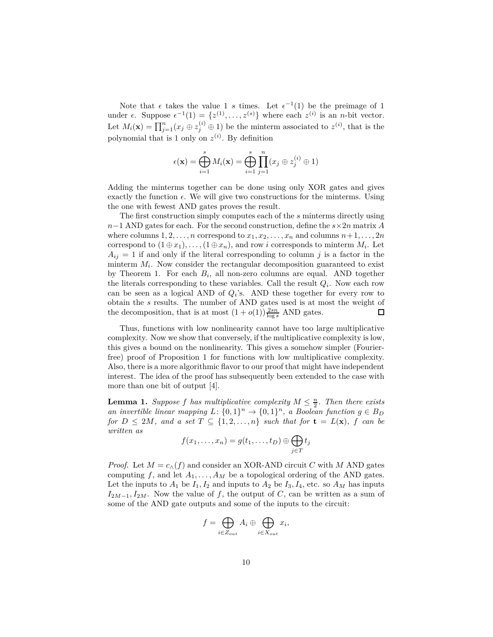Note that  $\epsilon$  takes the value 1 *s* times. Let  $\epsilon^{-1}(1)$  be the preimage of 1 under  $\epsilon$ . Suppose  $\epsilon^{-1}(1) = \{z^{(1)}, \ldots, z^{(s)}\}$  where each  $z^{(i)}$  is an *n*-bit vector. Let  $M_i(\mathbf{x}) = \prod_{j=1}^n (x_j \oplus z_j^{(i)} \oplus 1)$  be the minterm associated to  $z^{(i)}$ , that is the polynomial that is 1 only on  $z^{(i)}$ . By definition

$$
\epsilon(\mathbf{x}) = \bigoplus_{i=1}^{s} M_i(\mathbf{x}) = \bigoplus_{i=1}^{s} \prod_{j=1}^{n} (x_j \oplus z_j^{(i)} \oplus 1)
$$

Adding the minterms together can be done using only XOR gates and gives exactly the function  $\epsilon$ . We will give two constructions for the minterms. Using the one with fewest AND gates proves the result.

The first construction simply computes each of the *s* minterms directly using *n*−1 AND gates for each. For the second construction, define the *s*×2*n* matrix *A*  where columns  $1, 2, \ldots, n$  correspond to  $x_1, x_2, \ldots, x_n$  and columns  $n+1, \ldots, 2n$ correspond to  $(1 \oplus x_1), \ldots, (1 \oplus x_n)$ , and row *i* corresponds to minterm  $M_i$ . Let  $A_{ij} = 1$  if and only if the literal corresponding to column *j* is a factor in the minterm  $M_i$ . Now consider the rectangular decomposition guaranteed to exist by Theorem 1. For each  $B_i$ , all non-zero columns are equal. AND together the literals corresponding to these variables. Call the result  $Q_i$ . Now each row can be seen as a logical AND of  $Q_i$ 's. AND these together for every row to obtain the *s* results. The number of AND gates used is at most the weight of the decomposition, that is at most  $(1 + o(1)) \frac{2sn}{\log s}$  AND gates. 口

Thus, functions with low nonlinearity cannot have too large multiplicative complexity. Now we show that conversely, if the multiplicative complexity is low, this gives a bound on the nonlinearity. This gives a somehow simpler (Fourierfree) proof of Proposition 1 for functions with low multiplicative complexity. Also, there is a more algorithmic flavor to our proof that might have independent interest. The idea of the proof has subsequently been extended to the case with more than one bit of output [4].

**Lemma 1.** *Suppose f has multiplicative complexity*  $M \leq \frac{n}{2}$ *. Then there exists an invertible linear mapping*  $L: \{0,1\}^n \to \{0,1\}^n$ , a Boolean function  $g \in B_D$ *for*  $D \leq 2M$ *, and a set*  $T \subseteq \{1, 2, \ldots, n\}$  *such that for*  $\mathbf{t} = L(\mathbf{x})$ *, f can be written as* 

$$
f(x_1,\ldots,x_n)=g(t_1,\ldots,t_D)\oplus\bigoplus_{j\in T}t_j
$$

*Proof.* Let  $M = c_0(f)$  and consider an XOR-AND circuit *C* with *M* AND gates computing  $f$ , and let  $A_1, \ldots, A_M$  be a topological ordering of the AND gates. Let the inputs to  $A_1$  be  $I_1, I_2$  and inputs to  $A_2$  be  $I_3, I_4$ , etc. so  $A_M$  has inputs  $I_{2M-1}, I_{2M}$ . Now the value of *f*, the output of *C*, can be written as a sum of some of the AND gate outputs and some of the inputs to the circuit:

$$
f = \bigoplus_{i \in Z_{out}} A_i \oplus \bigoplus_{i \in X_{out}} x_i,
$$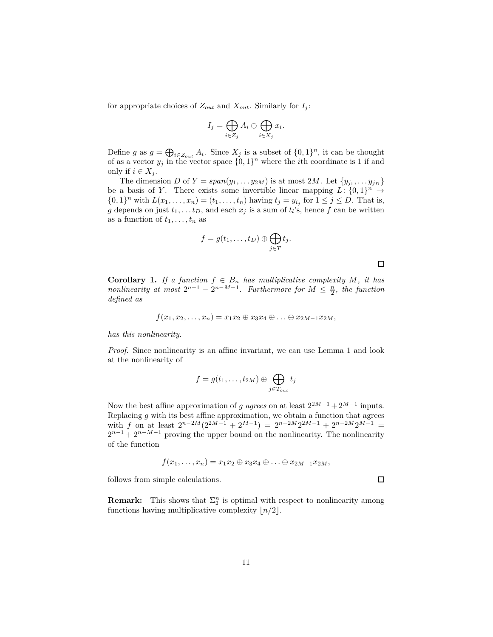for appropriate choices of  $Z_{out}$  and  $X_{out}$ . Similarly for  $I_j$ :

$$
I_j = \bigoplus_{i \in Z_j} A_i \oplus \bigoplus_{i \in X_j} x_i.
$$

Define *g* as  $g = \bigoplus_{i \in Z_{out}} A_i$ . Since  $X_j$  is a subset of  $\{0,1\}^n$ , it can be thought of as a vector  $y_j$  in the vector space  $\{0,1\}^n$  where the *i*th coordinate is 1 if and only if  $i ∈ X_j$ .

The dimension *D* of  $Y = span(y_1, \ldots y_{2M})$  is at most 2*M*. Let  $\{y_{j_1}, \ldots y_{j_D}\}$ be a basis of *Y*. There exists some invertible linear mapping  $L: \{0,1\}^n \to$  $\{0,1\}^n$  with  $L(x_1,...,x_n) = (t_1,...,t_n)$  having  $t_j = y_{i_j}$  for  $1 \le j \le D$ . That is, *g* depends on just  $t_1, \ldots, t_D$ , and each  $x_j$  is a sum of  $t_i$ 's, hence  $f$  can be written as a function of  $t_1, \ldots, t_n$  as

$$
f = g(t_1, \ldots, t_D) \oplus \bigoplus_{j \in T} t_j.
$$

**Corollary 1.** *If a function*  $f \in B_n$  *has multiplicative complexity*  $M$ *, it has nonlinearity at most*  $2^{n-1} - 2^{n-M-1}$ . Furthermore for  $M \leq \frac{n}{2}$ , the function *defined as* 

$$
f(x_1,x_2,\ldots,x_n)=x_1x_2\oplus x_3x_4\oplus\ldots\oplus x_{2M-1}x_{2M},
$$

*has this nonlinearity.* 

*Proof.* Since nonlinearity is an affine invariant, we can use Lemma 1 and look at the nonlinearity of

$$
f = g(t_1, \ldots, t_{2M}) \oplus \bigoplus_{j \in T_{out}} t_j
$$

Now the best affine approximation of *g agrees* on at least  $2^{2M-1} + 2^{M-1}$  inputs. Replacing *g* with its best affine approximation, we obtain a function that agrees with *f* on at least  $2^{n-2M}(2^{2M-1} + 2^{M-1}) = 2^{n-2M}2^{2M-1} + 2^{n-2M}2^{M-1} =$  $2^{n-1} + 2^{n-M-1}$  proving the upper bound on the nonlinearity. The nonlinearity of the function

$$
f(x_1,\ldots,x_n)=x_1x_2\oplus x_3x_4\oplus\ldots\oplus x_{2M-1}x_{2M},
$$

follows from simple calculations.

**Remark:** This shows that  $\Sigma_2^n$  is optimal with respect to nonlinearity among functions having multiplicative complexity  $\lfloor n/2 \rfloor$ .

 $\Box$ 

 $\Box$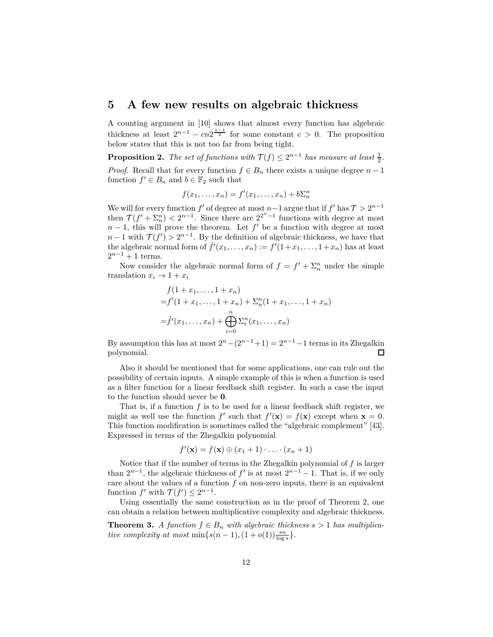### **5 A few new results on algebraic thickness**

A counting argument in [10] shows that almost every function has algebraic thickness at least  $2^{n-1} - cn2^{\frac{n-1}{2}}$  for some constant  $c > 0$ . The proposition below states that this is not too far from being tight.

**Proposition 2.** *The set of functions with*  $\mathcal{T}(f) \leq 2^{n-1}$  *has measure at least*  $\frac{1}{2}$ *. Proof.* Recall that for every function *f* ∈ *B<sub>n</sub>* there exists a unique degree *n* − 1 function *f'* ∈ *B<sub>n</sub>* and *b* ∈ F<sub>2</sub> such that

$$
f(x_1,\ldots,x_n)=f'(x_1,\ldots,x_n)+b\Sigma_n^n
$$

We will for every function  $f'$  of degree at most  $n-1$  argue that if  $f'$  has  $\mathcal{T} > 2^{n-1}$ then  $\mathcal{T}(f' + \Sigma_n^n) < 2^{n-1}$ . Since there are  $2^{2^n - 1}$  functions with degree at most *n* − 1, this will prove the theorem. Let *f'* be a function with degree at most  $n-1$  with  $\mathcal{T}(f') > 2^{n-1}$ . By the definition of algebraic thickness, we have that the algebraic normal form of  $\tilde{f}'(x_1, \ldots, x_n) := f'(1+x_1, \ldots, 1+x_n)$  has at least  $2^{n-1} + 1$  terms.

Now consider the algebraic normal form of  $f = f' + \sum_{n=1}^n f_n$  under the simple translation  $x_i \rightarrow 1 + x_i$ 

$$
f(1 + x_1, ..., 1 + x_n)
$$
  
=  $f'(1 + x_1, ..., 1 + x_n) + \sum_{i=0}^{n} (1 + x_1, ..., 1 + x_n)$   
=  $\tilde{f}'(x_1, ..., x_n) + \bigoplus_{i=0}^{n} \sum_{i=0}^{n} (x_1, ..., x_n)$ 

By assumption this has at most  $2^n - (2^{n-1}+1) = 2^{n-1}-1$  terms in its Zhegalkin polynomial. polynomial.

Also it should be mentioned that for some applications, one can rule out the possibility of certain inputs. A simple example of this is when a function is used as a filter function for a linear feedback shift register. In such a case the input to the function should never be **0**.

That is, if a function  $f$  is to be used for a linear feedback shift register, we might as well use the function  $f'$  such that  $f'(\mathbf{x}) = f(\mathbf{x})$  except when  $\mathbf{x} = 0$ . This function modification is sometimes called the "algebraic complement" [43]. Expressed in terms of the Zhegalkin polynomial

$$
f'(\mathbf{x}) = f(\mathbf{x}) \oplus (x_1 + 1) \cdot \ldots \cdot (x_n + 1)
$$

Notice that if the number of terms in the Zhegalkin polynomial of *f* is larger than  $2^{n-1}$ , the algebraic thickness of  $f'$  is at most  $2^{n-1} - 1$ . That is, if we only care about the values of a function *f* on non-zero inputs, there is an equivalent function  $f'$  with  $\mathcal{T}(f') \leq 2^{n-1}$ .

Using essentially the same construction as in the proof of Theorem 2, one can obtain a relation between multiplicative complexity and algebraic thickness.

**Theorem 3.** A function  $f \in B_n$  with algebraic thickness  $s > 1$  has multiplicative complexity at most  $\min\{s(n-1), (1+o(1))\frac{s n}{\log s}\}.$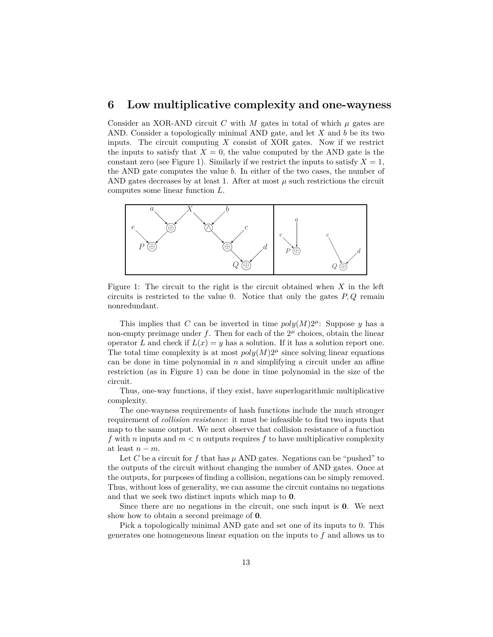### **6 Low multiplicative complexity and one-wayness**

Consider an XOR-AND circuit  $C$  with  $M$  gates in total of which  $\mu$  gates are AND. Consider a topologically minimal AND gate, and let *X* and *b* be its two inputs. The circuit computing *X* consist of XOR gates. Now if we restrict the inputs to satisfy that  $X = 0$ , the value computed by the AND gate is the constant zero (see Figure 1). Similarly if we restrict the inputs to satisfy  $X = 1$ , the AND gate computes the value *b*. In either of the two cases, the number of AND gates decreases by at least 1. After at most  $\mu$  such restrictions the circuit computes some linear function *L*.



Figure 1: The circuit to the right is the circuit obtained when *X* in the left circuits is restricted to the value 0. Notice that only the gates *P, Q* remain nonredundant.

This implies that *C* can be inverted in time  $poly(M)2^{\mu}$ : Suppose *y* has a non-empty preimage under  $f$ . Then for each of the  $2^{\mu}$  choices, obtain the linear operator *L* and check if  $L(x) = y$  has a solution. If it has a solution report one. The total time complexity is at most  $poly(M)2^{\mu}$  since solving linear equations can be done in time polynomial in *n* and simplifying a circuit under an affine restriction (as in Figure 1) can be done in time polynomial in the size of the circuit.

Thus, one-way functions, if they exist, have superlogarithmic multiplicative complexity.

The one-wayness requirements of hash functions include the much stronger requirement of *collision resistance*: it must be infeasible to find two inputs that map to the same output. We next observe that collision resistance of a function f with *n* inputs and  $m < n$  outputs requires f to have multiplicative complexity at least  $n - m$ .

Let C be a circuit for f that has  $\mu$  AND gates. Negations can be "pushed" to the outputs of the circuit without changing the number of AND gates. Once at the outputs, for purposes of finding a collision, negations can be simply removed. Thus, without loss of generality, we can assume the circuit contains no negations and that we seek two distinct inputs which map to **0**.

Since there are no negations in the circuit, one such input is **0**. We next show how to obtain a second preimage of **0**.

Pick a topologically minimal AND gate and set one of its inputs to 0. This generates one homogeneous linear equation on the inputs to *f* and allows us to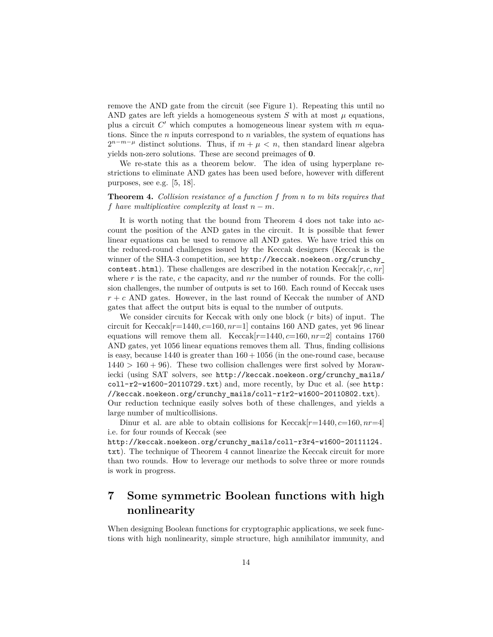remove the AND gate from the circuit (see Figure 1). Repeating this until no AND gates are left yields a homogeneous system  $S$  with at most  $\mu$  equations, plus a circuit  $C'$  which computes a homogeneous linear system with  $m$  equations. Since the *n* inputs correspond to *n* variables, the system of equations has  $2^{n-m-\mu}$  distinct solutions. Thus, if  $m+\mu < n$ , then standard linear algebra yields non-zero solutions. These are second preimages of **0**.

We re-state this as a theorem below. The idea of using hyperplane restrictions to eliminate AND gates has been used before, however with different purposes, see e.g. [5, 18].

#### **Theorem 4.** *Collision resistance of a function f from n to m bits requires that f have multiplicative complexity at least*  $n - m$ *.*

It is worth noting that the bound from Theorem 4 does not take into account the position of the AND gates in the circuit. It is possible that fewer linear equations can be used to remove all AND gates. We have tried this on the reduced-round challenges issued by the Keccak designers (Keccak is the winner of the SHA-3 competition, see http://keccak.noekeon.org/crunchy contest.html). These challenges are described in the notation Keccak[*r, c, nr*] where *r* is the rate, *c* the capacity, and *nr* the number of rounds. For the collision challenges, the number of outputs is set to 160. Each round of Keccak uses  $r + c$  AND gates. However, in the last round of Keccak the number of AND gates that affect the output bits is equal to the number of outputs.

We consider circuits for Keccak with only one block (*r* bits) of input. The circuit for Keccak $[r=1440, c=160, nr=1]$  contains 160 AND gates, yet 96 linear equations will remove them all. Keccak[*r*=1440*, c*=160*, nr*=2] contains 1760 AND gates, yet 1056 linear equations removes them all. Thus, finding collisions is easy, because  $1440$  is greater than  $160 + 1056$  (in the one-round case, because  $1440 > 160 + 96$ . These two collision challenges were first solved by Morawiecki (using SAT solvers, see http://keccak.noekeon.org/crunchy\_mails/  $col1-r2-w1600-20110729.txt$  and, more recently, by Duc et al. (see http: //keccak.noekeon.org/crunchy\_mails/coll-r1r2-w1600-20110802.txt). Our reduction technique easily solves both of these challenges, and yields a large number of multicollisions.

Dinur et al. are able to obtain collisions for Keccak[*r*=1440*, c*=160*, nr*=4] i.e. for four rounds of Keccak (see

http://keccak.noekeon.org/crunchy\_mails/coll-r3r4-w1600-20111124. txt). The technique of Theorem 4 cannot linearize the Keccak circuit for more than two rounds. How to leverage our methods to solve three or more rounds is work in progress.

# **7 Some symmetric Boolean functions with high nonlinearity**

When designing Boolean functions for cryptographic applications, we seek functions with high nonlinearity, simple structure, high annihilator immunity, and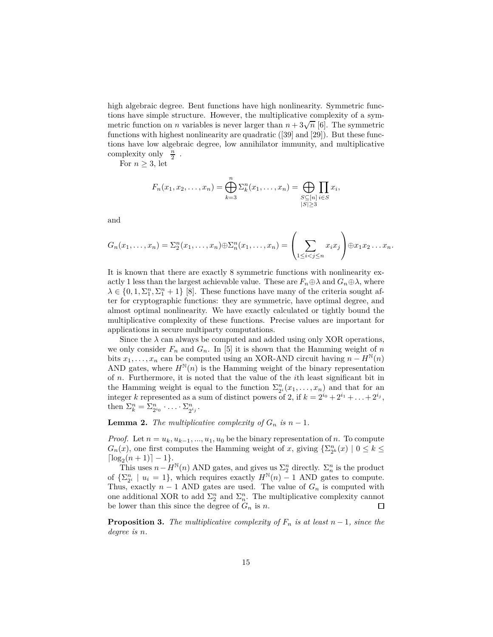complexity only  $\frac{n}{2}$ . high algebraic degree. Bent functions have high nonlinearity. Symmetric functions have simple structure. However, the multiplicative complexity of a sym where function on *n* variables is never larger than  $n + 3\sqrt{n}$  [6]. The symmetric functions with highest nonlinearity are quadratic ([39] and [29]). But these functions have low algebraic degree, low annihilator immunity, and multiplicative

For  $n \geq 3$ , let

$$
F_n(x_1, x_2, \dots, x_n) = \bigoplus_{k=3}^n \Sigma_k^n(x_1, \dots, x_n) = \bigoplus_{\substack{S \subseteq [n] \\ |S| \ge 3}} \prod_{i \in S} x_i,
$$

and

$$
G_n(x_1,\ldots,x_n)=\Sigma_2^n(x_1,\ldots,x_n)\oplus\Sigma_n^n(x_1,\ldots,x_n)=\left(\sum_{1\leq i
$$

It is known that there are exactly 8 symmetric functions with nonlinearity exactly 1 less than the largest achievable value. These are  $F_n \oplus \lambda$  and  $G_n \oplus \lambda$ , where  $\lambda \in \{0, 1, \Sigma_1^n, \Sigma_1^n + 1\}$  [8]. These functions have many of the criteria sought af ter for cryptographic functions: they are symmetric, have optimal degree, and almost optimal nonlinearity. We have exactly calculated or tightly bound the multiplicative complexity of these functions. Precise values are important for applications in secure multiparty computations.

Since the  $\lambda$  can always be computed and added using only XOR operations, we only consider  $F_n$  and  $G_n$ . In [5] it is shown that the Hamming weight of *n* bits  $x_1, \ldots, x_n$  can be computed using an XOR-AND circuit having  $n - H^{\mathbb{N}}(n)$ AND gates, where  $H^{\mathbb{N}}(n)$  is the Hamming weight of the binary representation of *n*. Furthermore, it is noted that the value of the *i*th least significant bit in the Hamming weight is equal to the function  $\Sigma_{2i}^n(x_1,\ldots,x_n)$  and that for an integer *k* represented as a sum of distinct powers of 2, if  $k = 2^{i_0} + 2^{i_1} + \ldots + 2^{i_j}$ , then  $\Sigma_k^n = \Sigma_{2^{i_0}}^n \cdot \ldots \cdot \Sigma_{2^{i_j}}^n$ .

**Lemma 2.** *The multiplicative complexity of*  $G_n$  *is*  $n-1$ *.* 

*Proof.* Let  $n = u_k, u_{k-1}, ..., u_1, u_0$  be the binary representation of *n*. To compute  $G_n(x)$ , one first computes the Hamming weight of *x*, giving  $\{\sum_{2^k}^n (x) \mid 0 \leq k \leq n\}$  $\lceil \log_2(n+1) \rceil - 1$ .

This uses  $n - H^{\mathbb{N}}(n)$  AND gates, and gives us  $\Sigma_2^n$  directly.  $\Sigma_n^n$  is the product of  $\{\sum_{2i}^{n} | u_i = 1\}$ , which requires exactly  $H^{\mathbb{N}}(n) - 1$  AND gates to compute. Thus, exactly  $n-1$  AND gates are used. The value of  $G_n$  is computed with one additional XOR to add  $\Sigma_2^n$  and  $\Sigma_n^n$ . The multiplicative complexity cannot be lower than this since the degree of  $G_n$  is  $n$ .  $\Box$ 

**Proposition 3.** The multiplicative complexity of  $F_n$  is at least  $n-1$ , since the *degree is n.*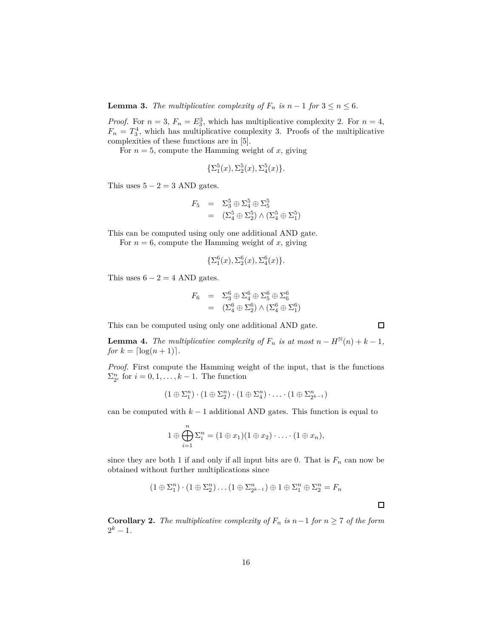**Lemma 3.** *The multiplicative complexity of*  $F_n$  *is*  $n-1$  *for*  $3 \leq n \leq 6$ *.* 

*Proof.* For  $n = 3$ ,  $F_n = E_3^3$ , which has multiplicative complexity 2. For  $n = 4$ ,  $F_n = T_3^4$ , which has multiplicative complexity 3. Proofs of the multiplicative complexities of these functions are in [5].

For  $n = 5$ , compute the Hamming weight of *x*, giving

$$
\{\Sigma_1^5(x), \Sigma_2^5(x), \Sigma_4^5(x)\}.
$$

This uses  $5 - 2 = 3$  AND gates.

$$
F_5 = \Sigma_3^5 \oplus \Sigma_4^5 \oplus \Sigma_5^5
$$
  
= 
$$
(\Sigma_4^5 \oplus \Sigma_2^5) \wedge (\Sigma_4^5 \oplus \Sigma_1^5)
$$

This can be computed using only one additional AND gate.

For  $n = 6$ , compute the Hamming weight of *x*, giving

$$
\{\Sigma_1^6(x), \Sigma_2^6(x), \Sigma_4^6(x)\}.
$$

This uses  $6 - 2 = 4$  AND gates.

$$
F_6 = \Sigma_3^6 \oplus \Sigma_4^6 \oplus \Sigma_5^6 \oplus \Sigma_6^6
$$
  
= 
$$
(\Sigma_4^6 \oplus \Sigma_2^6) \wedge (\Sigma_4^6 \oplus \Sigma_1^6)
$$

This can be computed using only one additional AND gate.

**Lemma 4.** *The multiplicative complexity of*  $F_n$  *is at most*  $n - H^{\mathbb{N}}(n) + k - 1$ *, for*  $k = \lfloor \log(n+1) \rfloor$ *.* 

*Proof.* First compute the Hamming weight of the input, that is the functions  $\sum_{2}^{n}$  for  $i = 0, 1, \ldots, k - 1$ . The function

$$
(1\oplus\Sigma_1^n)\cdot(1\oplus\Sigma_2^n)\cdot(1\oplus\Sigma_4^n)\cdot\ldots\cdot(1\oplus\Sigma_{2^{k-1}}^n)
$$

can be computed with  $k-1$  additional AND gates. This function is equal to

$$
1 \oplus \bigoplus_{i=1}^n \Sigma_i^n = (1 \oplus x_1)(1 \oplus x_2) \cdot \ldots \cdot (1 \oplus x_n),
$$

since they are both 1 if and only if all input bits are 0. That is  $F_n$  can now be obtained without further multiplications since

$$
(1 \oplus \Sigma_1^n) \cdot (1 \oplus \Sigma_2^n) \dots (1 \oplus \Sigma_{2^{k-1}}^n) \oplus 1 \oplus \Sigma_1^n \oplus \Sigma_2^n = F_n
$$

**Corollary 2.** *The multiplicative complexity of*  $F_n$  *is*  $n-1$  *for*  $n \geq 7$  *of the form*  $2^k-1$ *.* 

 $\Box$ 

 $\Box$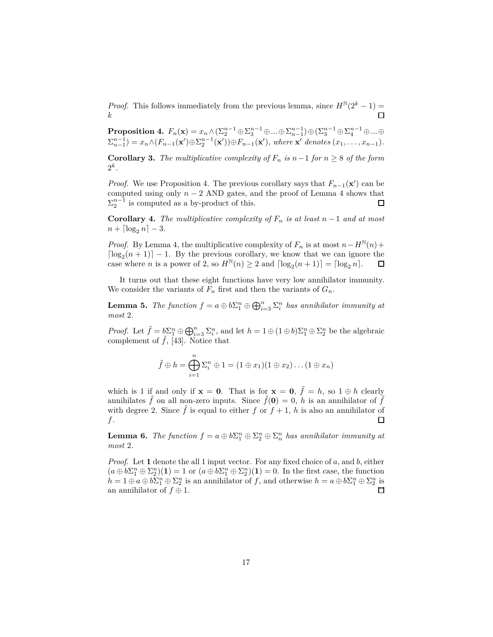*Proof.* This follows immediately from the previous lemma, since  $H^{\mathbb{N}}(2^k - 1) =$ *k* 

**Proposition 4.**  $F_n(\mathbf{x}) = x_n \wedge (\Sigma_2^{n-1} \oplus \Sigma_3^{n-1} \oplus ... \oplus \Sigma_{n-1}^{n-1}) \oplus (\Sigma_3^{n-1} \oplus \Sigma_4^{n-1} \oplus ... \oplus \Sigma_{n-1}^{n-1}) = x_n \wedge (F_{n-1}(\mathbf{x'}) \oplus \Sigma_2^{n-1}(\mathbf{x'})) \oplus F_{n-1}(\mathbf{x'}),$  where  $\mathbf{x'}$  denotes  $(x_1, \ldots, x_{n-1})$ .

**Corollary 3.** *The multiplicative complexity of*  $F_n$  *is*  $n-1$  *for*  $n \geq 8$  *of the form*  $2^k$ *.* 

*Proof.* We use Proposition 4. The previous corollary says that  $F_{n-1}(\mathbf{x}')$  can be computed using only *n* − 2 AND gates, and the proof of Lemma 4 shows that  $\Sigma_2^{n-1}$  is computed as a by-product of this.  $\Sigma_2^{n-1}$  is computed as a by-product of this.

**Corollary 4.** *The multiplicative complexity of*  $F_n$  *is at least n* − 1 *and at most*  $n + \lceil \log_2 n \rceil - 3$ .

*Proof.* By Lemma 4, the multiplicative complexity of  $F_n$  is at most  $n - H^{\mathbb{N}}(n)$ + [ $\log_2(n+1)$ ] − 1. By the previous corollary, we know that we can ignore the case where *n* is a power of 2, so  $H^N(n)$  > 2 and  $\lceil \log_2(n+1) \rceil = \lceil \log_2 n \rceil$ .  $\Box$ case where *n* is a power of 2, so  $H^{\mathbb{N}}(n) \geq 2$  and  $\lceil \log_2(n+1) \rceil = \lceil \log_2 n \rceil$ .

It turns out that these eight functions have very low annihilator immunity. We consider the variants of  $F_n$  first and then the variants of  $G_n$ .

**Lemma 5.** *The function*  $f = a \oplus b\Sigma_1^n \oplus \bigoplus_{i=3}^n \Sigma_i^n$  has annihilator immunity at *most* 2*.* 

*Proof.* Let  $\tilde{f} = b \sum_{i=1}^{n} \bigoplus_{i=3}^{n} \sum_{i=1}^{n} h_i$  and let  $h = 1 \oplus (1 \oplus b) \sum_{i=1}^{n} \bigoplus_{i=2}^{n} b_i$  be the algebraic complement of  $\tilde{f}$ , [43]. Notice that

$$
\tilde{f} \oplus h = \bigoplus_{i=1}^n \Sigma_i^n \oplus 1 = (1 \oplus x_1)(1 \oplus x_2) \dots (1 \oplus x_n)
$$

which is 1 if and only if  $\mathbf{x} = \mathbf{0}$ . That is for  $\mathbf{x} = \mathbf{0}$ ,  $\tilde{f} = h$ , so  $1 \oplus h$  clearly annihilates  $\tilde{f}$  on all non-zero inputs. Since  $\tilde{f}(\mathbf{0}) = 0$ , *h* is an annihilator of  $\tilde{f}$ with degree 2. Since  $\tilde{f}$  is equal to either  $f$  or  $f + 1$ ,  $h$  is also an annihilator of *f*.  $\Box$ 

**Lemma 6.** *The function*  $f = a \oplus b\Sigma_1^n \oplus \Sigma_2^n \oplus \Sigma_n^n$  *has annihilator immunity at most* 2*.* 

*Proof.* Let **1** denote the all 1 input vector. For any fixed choice of *a,* and *b*, either  $(a \oplus b\Sigma_1^n \oplus \Sigma_2^n)(1) = 1$  or  $(a \oplus b\Sigma_1^n \oplus \Sigma_2^n)(1) = 0$ . In the first case, the function  $h = 1 \oplus a \oplus b\sum_{1}^{n} \oplus \sum_{2}^{n}$  is an annihilator of *f*, and otherwise  $h = a \oplus b\sum_{1}^{n} \oplus \sum_{2}^{n}$  is an annihilator of  $f \oplus 1$ .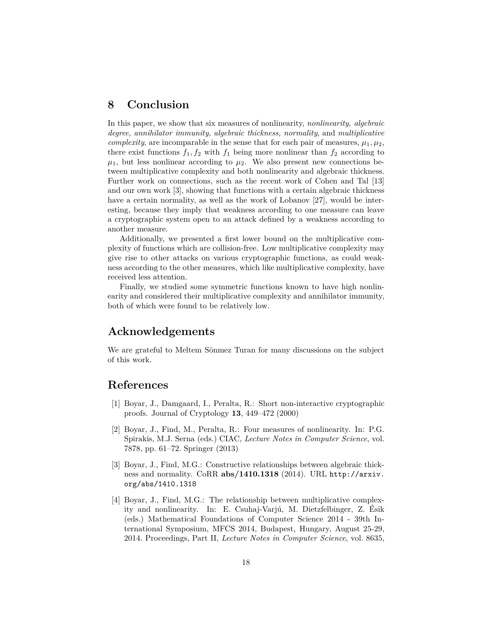# **8 Conclusion**

In this paper, we show that six measures of nonlinearity, *nonlinearity, algebraic degree, annihilator immunity, algebraic thickness, normality*, and *multiplicative complexity*, are incomparable in the sense that for each pair of measures,  $\mu_1, \mu_2$ , there exist functions  $f_1, f_2$  with  $f_1$  being more nonlinear than  $f_2$  according to  $\mu_1$ , but less nonlinear according to  $\mu_2$ . We also present new connections between multiplicative complexity and both nonlinearity and algebraic thickness. Further work on connections, such as the recent work of Cohen and Tal [13] and our own work [3], showing that functions with a certain algebraic thickness have a certain normality, as well as the work of Lobanov [27], would be interesting, because they imply that weakness according to one measure can leave a cryptographic system open to an attack defined by a weakness according to another measure.

Additionally, we presented a first lower bound on the multiplicative complexity of functions which are collision-free. Low multiplicative complexity may give rise to other attacks on various cryptographic functions, as could weakness according to the other measures, which like multiplicative complexity, have received less attention.

Finally, we studied some symmetric functions known to have high nonlinearity and considered their multiplicative complexity and annihilator immunity, both of which were found to be relatively low.

# **Acknowledgements**

We are grateful to Meltem Sönmez Turan for many discussions on the subject of this work.

# **References**

- [1] Boyar, J., Damgaard, I., Peralta, R.: Short non-interactive cryptographic proofs. Journal of Cryptology **13**, 449–472 (2000)
- [2] Boyar, J., Find, M., Peralta, R.: Four measures of nonlinearity. In: P.G. Spirakis, M.J. Serna (eds.) CIAC, *Lecture Notes in Computer Science*, vol. 7878, pp. 61–72. Springer (2013)
- [3] Boyar, J., Find, M.G.: Constructive relationships between algebraic thickness and normality. CoRR **abs/1410.1318** (2014). URL http://arxiv. org/abs/1410.1318
- [4] Boyar, J., Find, M.G.: The relationship between multiplicative complexity and nonlinearity. In: E. Csuhaj-Varjú, M. Dietzfelbinger, Z. Ésik (eds.) Mathematical Foundations of Computer Science 2014 - 39th International Symposium, MFCS 2014, Budapest, Hungary, August 25-29, 2014. Proceedings, Part II, *Lecture Notes in Computer Science*, vol. 8635,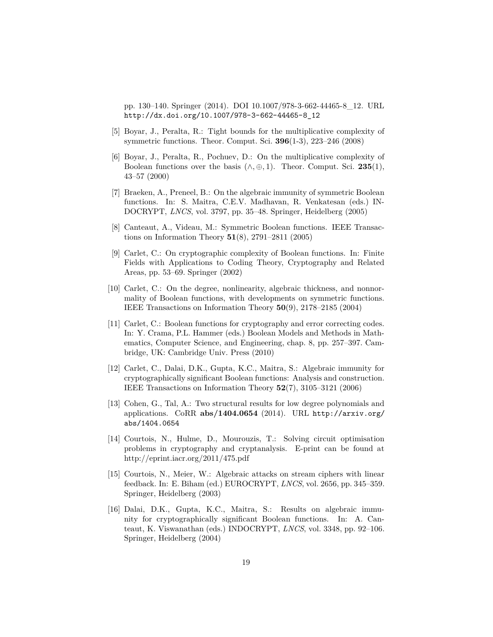pp. 130–140. Springer (2014). DOI 10.1007/978-3-662-44465-8\_12. URL http://dx.doi.org/10.1007/978-3-662-44465-8\_12

- [5] Boyar, J., Peralta, R.: Tight bounds for the multiplicative complexity of symmetric functions. Theor. Comput. Sci. **396**(1-3), 223–246 (2008)
- [6] Boyar, J., Peralta, R., Pochuev, D.: On the multiplicative complexity of Boolean functions over the basis  $(\wedge, \oplus, 1)$ . Theor. Comput. Sci. 235(1), 43–57 (2000)
- [7] Braeken, A., Preneel, B.: On the algebraic immunity of symmetric Boolean functions. In: S. Maitra, C.E.V. Madhavan, R. Venkatesan (eds.) IN-DOCRYPT, *LNCS*, vol. 3797, pp. 35–48. Springer, Heidelberg (2005)
- [8] Canteaut, A., Videau, M.: Symmetric Boolean functions. IEEE Transactions on Information Theory **51**(8), 2791–2811 (2005)
- [9] Carlet, C.: On cryptographic complexity of Boolean functions. In: Finite Fields with Applications to Coding Theory, Cryptography and Related Areas, pp. 53–69. Springer (2002)
- [10] Carlet, C.: On the degree, nonlinearity, algebraic thickness, and nonnormality of Boolean functions, with developments on symmetric functions. IEEE Transactions on Information Theory **50**(9), 2178–2185 (2004)
- [11] Carlet, C.: Boolean functions for cryptography and error correcting codes. In: Y. Crama, P.L. Hammer (eds.) Boolean Models and Methods in Mathematics, Computer Science, and Engineering, chap. 8, pp. 257–397. Cambridge, UK: Cambridge Univ. Press (2010)
- [12] Carlet, C., Dalai, D.K., Gupta, K.C., Maitra, S.: Algebraic immunity for cryptographically significant Boolean functions: Analysis and construction. IEEE Transactions on Information Theory **52**(7), 3105–3121 (2006)
- [13] Cohen, G., Tal, A.: Two structural results for low degree polynomials and applications. CoRR **abs/1404.0654** (2014). URL http://arxiv.org/ abs/1404.0654
- [14] Courtois, N., Hulme, D., Mourouzis, T.: Solving circuit optimisation problems in cryptography and cryptanalysis. E-print can be found at http://eprint.iacr.org/2011/475.pdf
- [15] Courtois, N., Meier, W.: Algebraic attacks on stream ciphers with linear feedback. In: E. Biham (ed.) EUROCRYPT, *LNCS*, vol. 2656, pp. 345–359. Springer, Heidelberg (2003)
- [16] Dalai, D.K., Gupta, K.C., Maitra, S.: Results on algebraic immunity for cryptographically significant Boolean functions. In: A. Canteaut, K. Viswanathan (eds.) INDOCRYPT, *LNCS*, vol. 3348, pp. 92–106. Springer, Heidelberg (2004)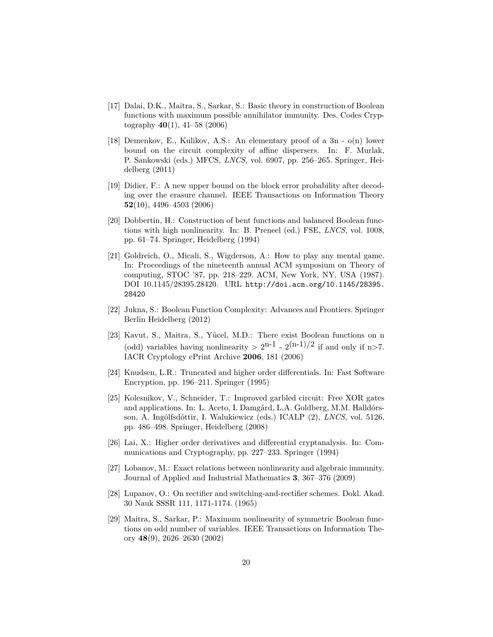- [17] Dalai, D.K., Maitra, S., Sarkar, S.: Basic theory in construction of Boolean functions with maximum possible annihilator immunity. Des. Codes Cryptography **40**(1), 41–58 (2006)
- [18] Demenkov, E., Kulikov, A.S.: An elementary proof of a 3n o(n) lower bound on the circuit complexity of affine dispersers. In: F. Murlak, P. Sankowski (eds.) MFCS, *LNCS*, vol. 6907, pp. 256–265. Springer, Heidelberg (2011)
- [19] Didier, F.: A new upper bound on the block error probability after decoding over the erasure channel. IEEE Transactions on Information Theory **52**(10), 4496–4503 (2006)
- [20] Dobbertin, H.: Construction of bent functions and balanced Boolean functions with high nonlinearity. In: B. Preneel (ed.) FSE, *LNCS*, vol. 1008, pp. 61–74. Springer, Heidelberg (1994)
- [21] Goldreich, O., Micali, S., Wigderson, A.: How to play any mental game. In: Proceedings of the nineteenth annual ACM symposium on Theory of computing, STOC '87, pp. 218–229. ACM, New York, NY, USA (1987). DOI 10.1145/28395.28420. URL http://doi.acm.org/10.1145/28395. 28420
- [22] Jukna, S.: Boolean Function Complexity: Advances and Frontiers. Springer Berlin Heidelberg (2012)
- [23] Kavut, S., Maitra, S., Yücel, M.D.: There exist Boolean functions on n (odd) variables having nonlinearity  $> 2^{n-1} - 2^{(n-1)/2}$  if and only if n >7. IACR Cryptology ePrint Archive **2006**, 181 (2006)
- [24] Knudsen, L.R.: Truncated and higher order differentials. In: Fast Software Encryption, pp. 196–211. Springer (1995)
- [25] Kolesnikov, V., Schneider, T.: Improved garbled circuit: Free XOR gates and applications. In: L. Aceto, I. Damgård, L.A. Goldberg, M.M. Halldórsson, A. Ingólfsdóttir, I. Walukiewicz (eds.) ICALP (2), *LNCS*, vol. 5126, pp. 486–498. Springer, Heidelberg (2008)
- [26] Lai, X.: Higher order derivatives and differential cryptanalysis. In: Communications and Cryptography, pp. 227–233. Springer (1994)
- [27] Lobanov, M.: Exact relations between nonlinearity and algebraic immunity. Journal of Applied and Industrial Mathematics **3**, 367–376 (2009)
- [28] Lupanov, O.: On rectifier and switching-and-rectifier schemes. Dokl. Akad. 30 Nauk SSSR 111, 1171-1174. (1965)
- [29] Maitra, S., Sarkar, P.: Maximum nonlinearity of symmetric Boolean functions on odd number of variables. IEEE Transactions on Information Theory **48**(9), 2626–2630 (2002)